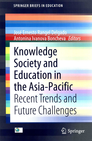**SPRINGER BRIEFS IN EDUCATION** 

José Ernesto Rangel Delgado Antonina Ivanova Boncheva Editors

Knowledge Society and **Education in** the Asia-Pacific **Recent Trends and Future Challenges** 



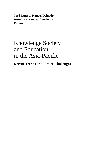**José Ernesto Rangel Delgado Antonina Ivanova Boncheva Editors**

## Knowledge Society and Education in the Asia-Pacific

**Recent Trends and Future Challenges**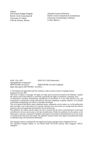*Editors* José Ernesto Rangel Delgado Pacific Circle Consortium & University of Colima Villa de Alvarez, Mexico

Antonina Ivanova Boncheva Pacific Circle Consortium & Autonomous University of South Baja California La Paz, Mexico

ISSN 2211-1921 ISSN 2211-193X (electronic) SpringerBriefs in Education ISBN 978-981-16-2332-5 ISBN 978-981-16-2333-2 (eBook) https://doi.org/l 0.1007/978-981 -16-2333-2

© The Editor(s) (if applicable) and The Author(s), under exclusive license to Springer Nature Singapore Pte Ltd. 2021

This work is subject to copyright. All rights are solely and exclusively licensed by the Publisher, whether the whole or part of the material is concerned, specifically the rights of translation, reprinting, reuse

of illustrations, recitation, broadcasting, reproduction on microfilms or in any other physical way, and transmission or information storage and retrieval, electronic adaptation, computer *software, or* by similar or dissimilar methodology now known or hereafter developed.

The use of general descriptive names, registered names, trademarks, service marks, etc. in this publication does not imply, even in the absence of a specific statement, that *such names are exempt* from the relevant protective laws and regulations and therefore free for general use.

The publisher, the authors and the editors are safe to assume that the advice and information in this book are believed to be true and accurate at the date of publication. Neither the publisher nor the authors or the editors give a warranty, expressed or implied, with respect to the material contained herein or for any errors or omissions that may have been made. The publisher remains neutral with regard to jurisdictional claims in published maps *and* institutional affiliations.

This Springer imprint is published by the registered company Springer Nature Singapore Pte Ltd. The registered company address is: 152 Beach Road, #21-01/04 Gateway East, Singapore 189721, Singapore